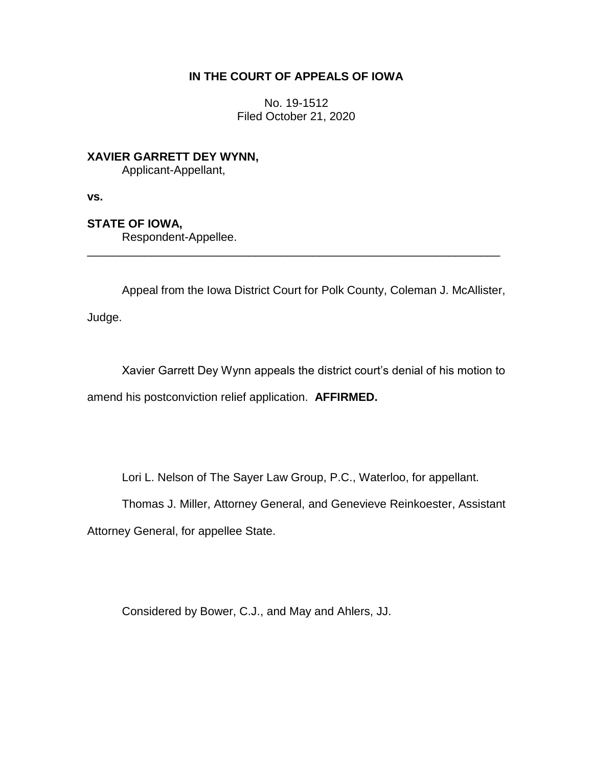# **IN THE COURT OF APPEALS OF IOWA**

No. 19-1512 Filed October 21, 2020

**XAVIER GARRETT DEY WYNN,** Applicant-Appellant,

**vs.**

## **STATE OF IOWA,**

Respondent-Appellee.

Appeal from the Iowa District Court for Polk County, Coleman J. McAllister,

\_\_\_\_\_\_\_\_\_\_\_\_\_\_\_\_\_\_\_\_\_\_\_\_\_\_\_\_\_\_\_\_\_\_\_\_\_\_\_\_\_\_\_\_\_\_\_\_\_\_\_\_\_\_\_\_\_\_\_\_\_\_\_\_

Judge.

Xavier Garrett Dey Wynn appeals the district court's denial of his motion to amend his postconviction relief application. **AFFIRMED.**

Lori L. Nelson of The Sayer Law Group, P.C., Waterloo, for appellant.

Thomas J. Miller, Attorney General, and Genevieve Reinkoester, Assistant

Attorney General, for appellee State.

Considered by Bower, C.J., and May and Ahlers, JJ.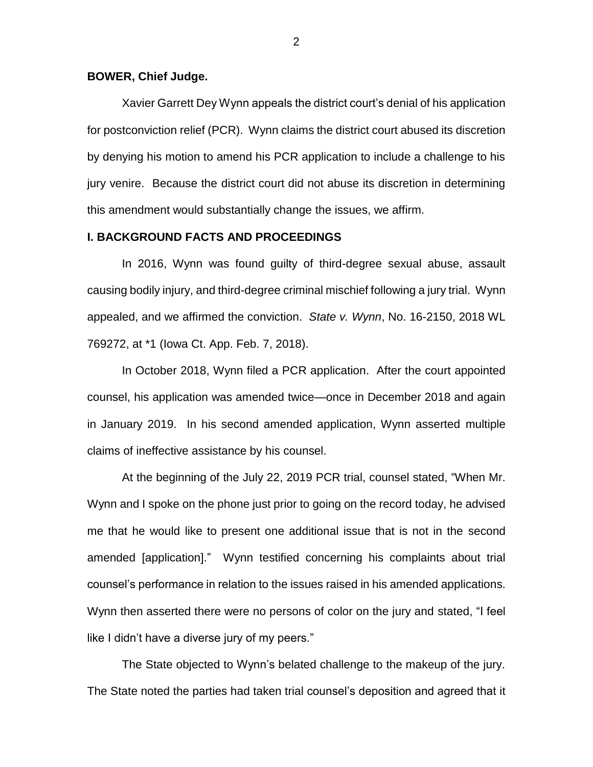#### **BOWER, Chief Judge.**

Xavier Garrett Dey Wynn appeals the district court's denial of his application for postconviction relief (PCR). Wynn claims the district court abused its discretion by denying his motion to amend his PCR application to include a challenge to his jury venire. Because the district court did not abuse its discretion in determining this amendment would substantially change the issues, we affirm.

### **I. BACKGROUND FACTS AND PROCEEDINGS**

In 2016, Wynn was found guilty of third-degree sexual abuse, assault causing bodily injury, and third-degree criminal mischief following a jury trial. Wynn appealed, and we affirmed the conviction. *State v. Wynn*, No. 16-2150, 2018 WL 769272, at \*1 (Iowa Ct. App. Feb. 7, 2018).

In October 2018, Wynn filed a PCR application. After the court appointed counsel, his application was amended twice—once in December 2018 and again in January 2019. In his second amended application, Wynn asserted multiple claims of ineffective assistance by his counsel.

At the beginning of the July 22, 2019 PCR trial, counsel stated, "When Mr. Wynn and I spoke on the phone just prior to going on the record today, he advised me that he would like to present one additional issue that is not in the second amended [application]." Wynn testified concerning his complaints about trial counsel's performance in relation to the issues raised in his amended applications. Wynn then asserted there were no persons of color on the jury and stated, "I feel like I didn't have a diverse jury of my peers."

The State objected to Wynn's belated challenge to the makeup of the jury. The State noted the parties had taken trial counsel's deposition and agreed that it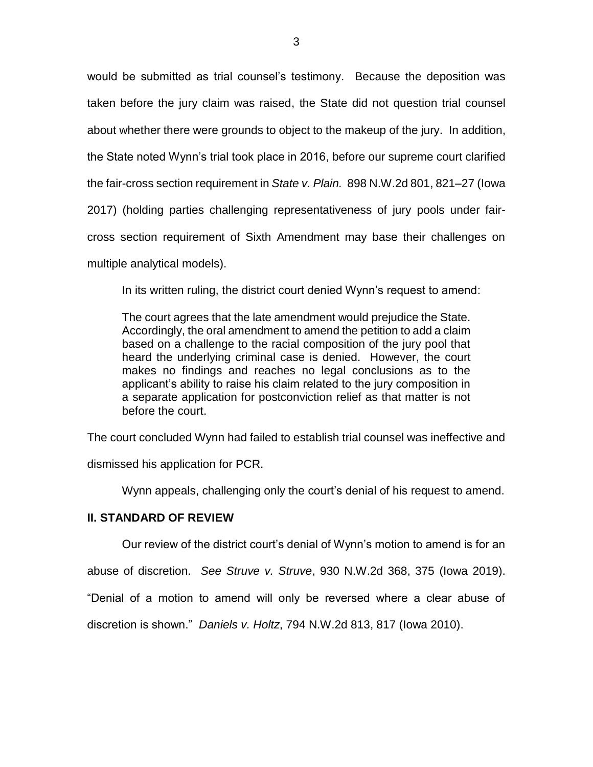would be submitted as trial counsel's testimony. Because the deposition was taken before the jury claim was raised, the State did not question trial counsel about whether there were grounds to object to the makeup of the jury. In addition, the State noted Wynn's trial took place in 2016, before our supreme court clarified the fair-cross section requirement in *State v. Plain.* 898 N.W.2d 801, 821–27 (Iowa 2017) (holding parties challenging representativeness of jury pools under faircross section requirement of Sixth Amendment may base their challenges on multiple analytical models).

In its written ruling, the district court denied Wynn's request to amend:

The court agrees that the late amendment would prejudice the State. Accordingly, the oral amendment to amend the petition to add a claim based on a challenge to the racial composition of the jury pool that heard the underlying criminal case is denied. However, the court makes no findings and reaches no legal conclusions as to the applicant's ability to raise his claim related to the jury composition in a separate application for postconviction relief as that matter is not before the court.

The court concluded Wynn had failed to establish trial counsel was ineffective and

dismissed his application for PCR.

Wynn appeals, challenging only the court's denial of his request to amend.

## **II. STANDARD OF REVIEW**

Our review of the district court's denial of Wynn's motion to amend is for an

abuse of discretion. *See Struve v. Struve*, 930 N.W.2d 368, 375 (Iowa 2019).

"Denial of a motion to amend will only be reversed where a clear abuse of

discretion is shown." *Daniels v. Holtz*, 794 N.W.2d 813, 817 (Iowa 2010).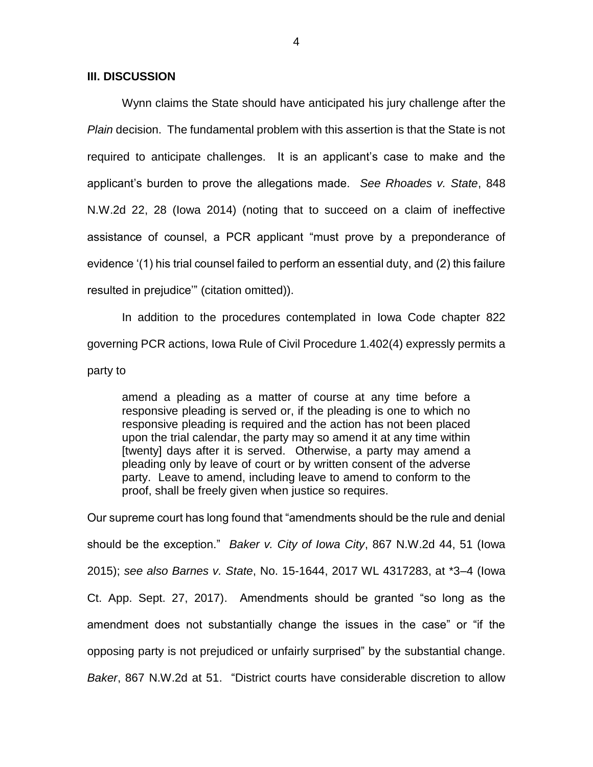### **III. DISCUSSION**

Wynn claims the State should have anticipated his jury challenge after the *Plain* decision. The fundamental problem with this assertion is that the State is not required to anticipate challenges. It is an applicant's case to make and the applicant's burden to prove the allegations made. *See Rhoades v. State*, 848 N.W.2d 22, 28 (Iowa 2014) (noting that to succeed on a claim of ineffective assistance of counsel, a PCR applicant "must prove by a preponderance of evidence '(1) his trial counsel failed to perform an essential duty, and (2) this failure resulted in prejudice'" (citation omitted)).

In addition to the procedures contemplated in Iowa Code chapter 822 governing PCR actions, Iowa Rule of Civil Procedure 1.402(4) expressly permits a

party to

amend a pleading as a matter of course at any time before a responsive pleading is served or, if the pleading is one to which no responsive pleading is required and the action has not been placed upon the trial calendar, the party may so amend it at any time within [twenty] days after it is served. Otherwise, a party may amend a pleading only by leave of court or by written consent of the adverse party. Leave to amend, including leave to amend to conform to the proof, shall be freely given when justice so requires.

Our supreme court has long found that "amendments should be the rule and denial should be the exception." *Baker v. City of Iowa City*, 867 N.W.2d 44, 51 (Iowa 2015); *see also Barnes v. State*, No. 15-1644, 2017 WL 4317283, at \*3–4 (Iowa Ct. App. Sept. 27, 2017). Amendments should be granted "so long as the amendment does not substantially change the issues in the case" or "if the opposing party is not prejudiced or unfairly surprised" by the substantial change. *Baker*, 867 N.W.2d at 51. "District courts have considerable discretion to allow